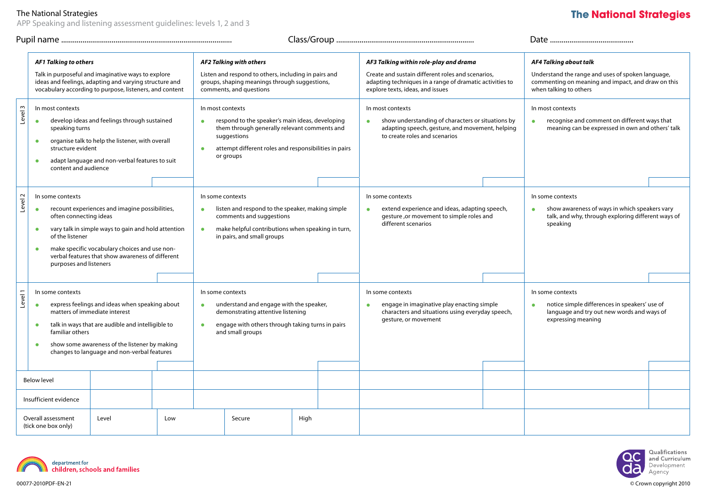# The National Strategies

APP Speaking and listening assessment guidelines: levels 1, 2 and 3

# **The National Strategies**

|         | <b>AF1 Talking to others</b><br>Talk in purposeful and imaginative ways to explore<br>ideas and feelings, adapting and varying structure and<br>vocabulary according to purpose, listeners, and content                                                                                                                                      |       |                                                                                                                                                                                                                                    | AF2 Talking with others<br>Listen and respond to others, including in pairs and<br>groups, shaping meanings through suggestions,<br>comments, and questions                                                   |        |      |                                                                                                                                                           | AF3 Talking within role-play and drama<br>Create and sustain different roles and scenarios,<br>adapting techniques in a range of dramatic activities to<br>explore texts, ideas, and issues |                                                                                                                                                    | AF4 Talking about talk<br>Understand the range and uses of spoken language,<br>commenting on meaning and impact, and draw on this<br>when talking to others |  |
|---------|----------------------------------------------------------------------------------------------------------------------------------------------------------------------------------------------------------------------------------------------------------------------------------------------------------------------------------------------|-------|------------------------------------------------------------------------------------------------------------------------------------------------------------------------------------------------------------------------------------|---------------------------------------------------------------------------------------------------------------------------------------------------------------------------------------------------------------|--------|------|-----------------------------------------------------------------------------------------------------------------------------------------------------------|---------------------------------------------------------------------------------------------------------------------------------------------------------------------------------------------|----------------------------------------------------------------------------------------------------------------------------------------------------|-------------------------------------------------------------------------------------------------------------------------------------------------------------|--|
| Level 3 | In most contexts<br>develop ideas and feelings through sustained<br>$\bullet$<br>speaking turns<br>organise talk to help the listener, with overall<br>$\bullet$<br>structure evident<br>adapt language and non-verbal features to suit<br>$\bullet$<br>content and audience                                                                 |       | In most contexts<br>respond to the speaker's main ideas, developing<br>$\bullet$<br>them through generally relevant comments and<br>suggestions<br>attempt different roles and responsibilities in pairs<br>$\bullet$<br>or groups |                                                                                                                                                                                                               |        |      | In most contexts<br>show understanding of characters or situations by<br>adapting speech, gesture, and movement, helping<br>to create roles and scenarios |                                                                                                                                                                                             | In most contexts<br>recognise and comment on different ways that<br>$\bullet$<br>meaning can be expressed in own and others' talk                  |                                                                                                                                                             |  |
| Level 2 | In some contexts<br>recount experiences and imagine possibilities,<br>$\bullet$<br>often connecting ideas<br>vary talk in simple ways to gain and hold attention<br>$\bullet$<br>of the listener<br>make specific vocabulary choices and use non-<br>$\bullet$<br>verbal features that show awareness of different<br>purposes and listeners |       |                                                                                                                                                                                                                                    | In some contexts<br>listen and respond to the speaker, making simple<br>$\bullet$<br>comments and suggestions<br>make helpful contributions when speaking in turn,<br>$\bullet$<br>in pairs, and small groups |        |      |                                                                                                                                                           | In some contexts<br>extend experience and ideas, adapting speech,<br>$\bullet$<br>gesture ,or movement to simple roles and<br>different scenarios                                           |                                                                                                                                                    | In some contexts<br>show awareness of ways in which speakers vary<br>$\bullet$<br>talk, and why, through exploring different ways of<br>speaking            |  |
| Level 1 | In some contexts<br>express feelings and ideas when speaking about<br>$\bullet$<br>matters of immediate interest<br>talk in ways that are audible and intelligible to<br>$\bullet$<br>familiar others<br>show some awareness of the listener by making<br>$\bullet$<br>changes to language and non-verbal features<br><b>Below level</b>     |       | In some contexts<br>understand and engage with the speaker,<br>$\bullet$<br>demonstrating attentive listening<br>engage with others through taking turns in pairs<br>$\bullet$<br>and small groups                                 |                                                                                                                                                                                                               |        |      | In some contexts<br>engage in imaginative play enacting simple<br>characters and situations using everyday speech,<br>gesture, or movement                |                                                                                                                                                                                             | In some contexts<br>notice simple differences in speakers' use of<br>$\bullet$<br>language and try out new words and ways of<br>expressing meaning |                                                                                                                                                             |  |
|         | Insufficient evidence<br>Overall assessment<br>(tick one box only)                                                                                                                                                                                                                                                                           | Level | Low                                                                                                                                                                                                                                |                                                                                                                                                                                                               | Secure | High |                                                                                                                                                           |                                                                                                                                                                                             |                                                                                                                                                    |                                                                                                                                                             |  |